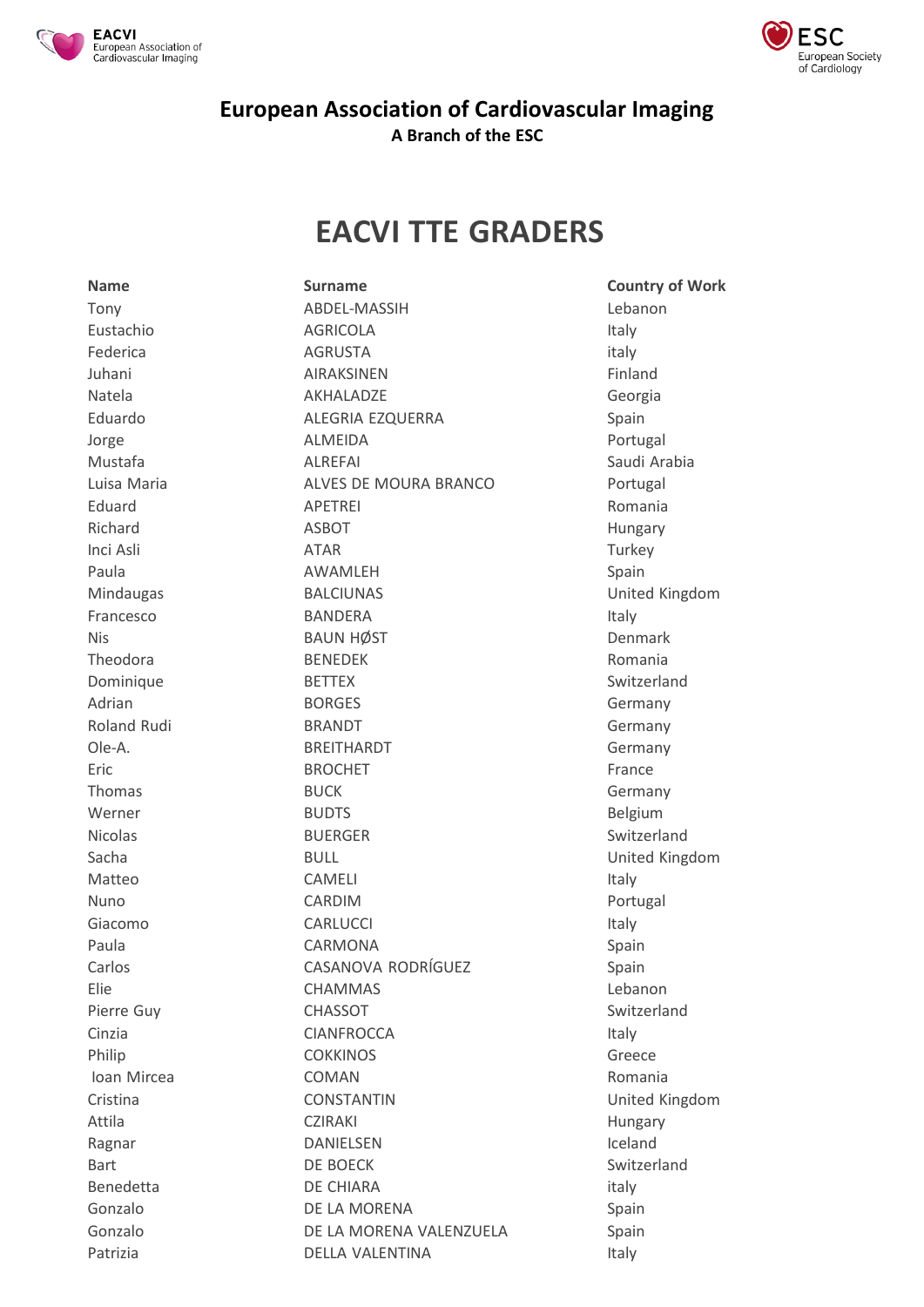



## **European Association of Cardiovascular Imaging A Branch of the ESC**

## **EACVI TTE GRADERS**

Tony ABDEL-MASSIH Lebanon Eustachio AGRICOLA Italy Federica AGRUSTA italy Juhani **AIRAKSINEN** AIRAKSINEN Finland Natela **AKHALADZE** AKHALADZE Georgia Eduardo **ALEGRIA EZQUERRA** Spain Jorge ALMEIDA Portugal Mustafa ALREFAI Saudi Arabia Luisa Maria **ALVES DE MOURA BRANCO** Portugal Eduard **APETREI** APETREI Richard **ASBOT** ASBOT **Hungary** Inci Asli ATAR Turkey Paula AWAMLEH Spain Mindaugas BALCIUNAS United Kingdom Francesco BANDERA Italy Nis BAUN HØST Denmark Denmark Theodora BENEDEK Romania Dominique BETTEX Switzerland Adrian **BORGES** BORGES **Germany** Roland Rudi **BRANDT** BRANDT **Germany** Ole-A. BREITHARDT Germany Eric **Example BROCHET** BROCHET **France** Thomas BUCK BUCK Germany Werner BUDTS BUDTS Belgium Nicolas BUERGER Switzerland Sacha BULL BULL **BULL** United Kingdom Matteo CAMELI CAMELI CAMELI Nuno CARDIM Portugal Giacomo CARLUCCI CARLUCCI International CARLUCCI CARLUCCI CONTE Paula **CARMONA** CARMONA CASANOVA RODRÍGUEZ Spain Elie CHAMMAS Lebanon Pierre Guy **CHASSOT** Switzerland CINATION CIANFROCCA CONSIDERATION CONTROL CONSIDERATION CONSIDERATION CONSIDERATION CONSIDERATION CONSIDERATION CONSIDERATION CONSIDERATION CONSIDERATION CONSIDERATION CONSIDERATION CONSIDERATION CONSIDERATION CONSIDERATIO Philip **COKKINOS** COMETA CONSTRUCT CONSTRUCT CONSTRUCT CONSTRUCT CONSTRUCT CONSTRUCT CONSTRUCT CONSTRUCT CONSTRUCT Ioan Mircea **COMAN** COMAN Romania Cristina CONSTANTIN United Kingdom Attila CZIRAKI Hungary Ragnar **DANIELSEN** DANIELSEN Iceland Bart **DE BOECK** Switzerland Benedetta DE CHIARA italy Gonzalo **DE LA MORENA** Spain Gonzalo **DE LA MORENA VALENZUELA** Spain Patrizia **DELLA VALENTINA** Italy

**Name Surname Country of Work**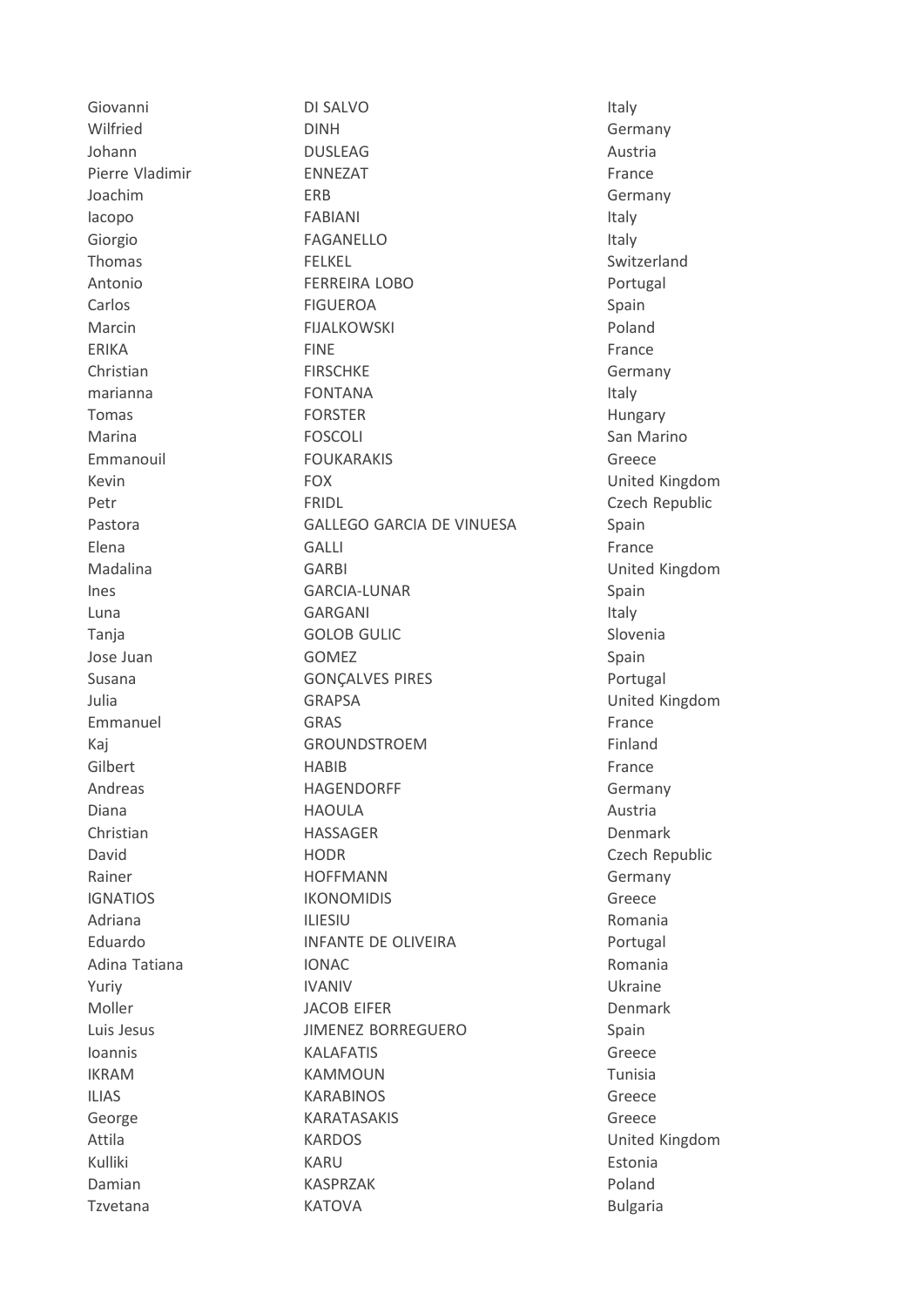Giovanni DI SALVO Italy Wilfried DINH Germany Johann **DUSLEAG** and DUSLEAG **Austria** Pierre Vladimir France ENNEZAT France Joachim ERB Germany Iacopo FABIANI Italy Giorgio **FAGANELLO** Italy Thomas **FELKEL FELKEL** Switzerland Antonio FERREIRA LOBO Portugal Carlos FIGUEROA Spain Marcin **FIJALKOWSKI** Poland ERIKA FINE FINE FRANCE Christian **FIRSCHKE Germany** marianna **Italy North Contrants and Transformation** Italy Tomas **FORSTER FORSTER Hungary** Marina **FOSCOLI San Marino** San Marino Emmanouil FOUKARAKIS Greece Kevin **FOX** FOX United Kingdom Petr **FRIDL** FRIDL Czech Republic Pastora **GALLEGO GARCIA DE VINUESA** Spain Elena GALLI GALLI GALLI France Madalina GARBI United Kingdom Ines GARCIA-LUNAR Spain Luna GARGANI Italy Tanja GOLOB GULIC Slovenia Jose Juan and GOMEZ COMES Spain Susana **GONÇALVES PIRES** POTTUGALVES PIRES Julia GRAPSA United Kingdom Emmanuel GRAS **GRAS** France Kaj **GROUNDSTROEM GROUNDSTROEM Finland** Gilbert **France HABIB France** Andreas **HAGENDORFF** Germany Diana and an ann an HAOULA ann an t-an an Austria Christian **HASSAGER** Denmark David **HODR** HODR Czech Republic Rainer **HOFFMANN** HOFFMANN Germany IGNATIOS IKONOMIDIS Greece Adriana **ILIESIU** Romania Eduardo **INFANTE DE OLIVEIRA** Portugal Adina Tatiana **IONAC IONAC** Romania Yuriy **IVANIV** IVANIV Dhama Ukraine Moller **Galler Strategy ACOB EIFER COMPANY** Denmark Luis Jesus **JIMENEZ BORREGUERO** Spain Ioannis KALAFATIS Greece IKRAM KAMMOUN Tunisia ILIAS KARABINOS Greece George KARATASAKIS Greece Attila **KARDOS** KARDOS **United Kingdom** Kulliki Estonia Damian **KASPRZAK** Poland Tzvetana **KATOVA** KATOVA **Bulgaria**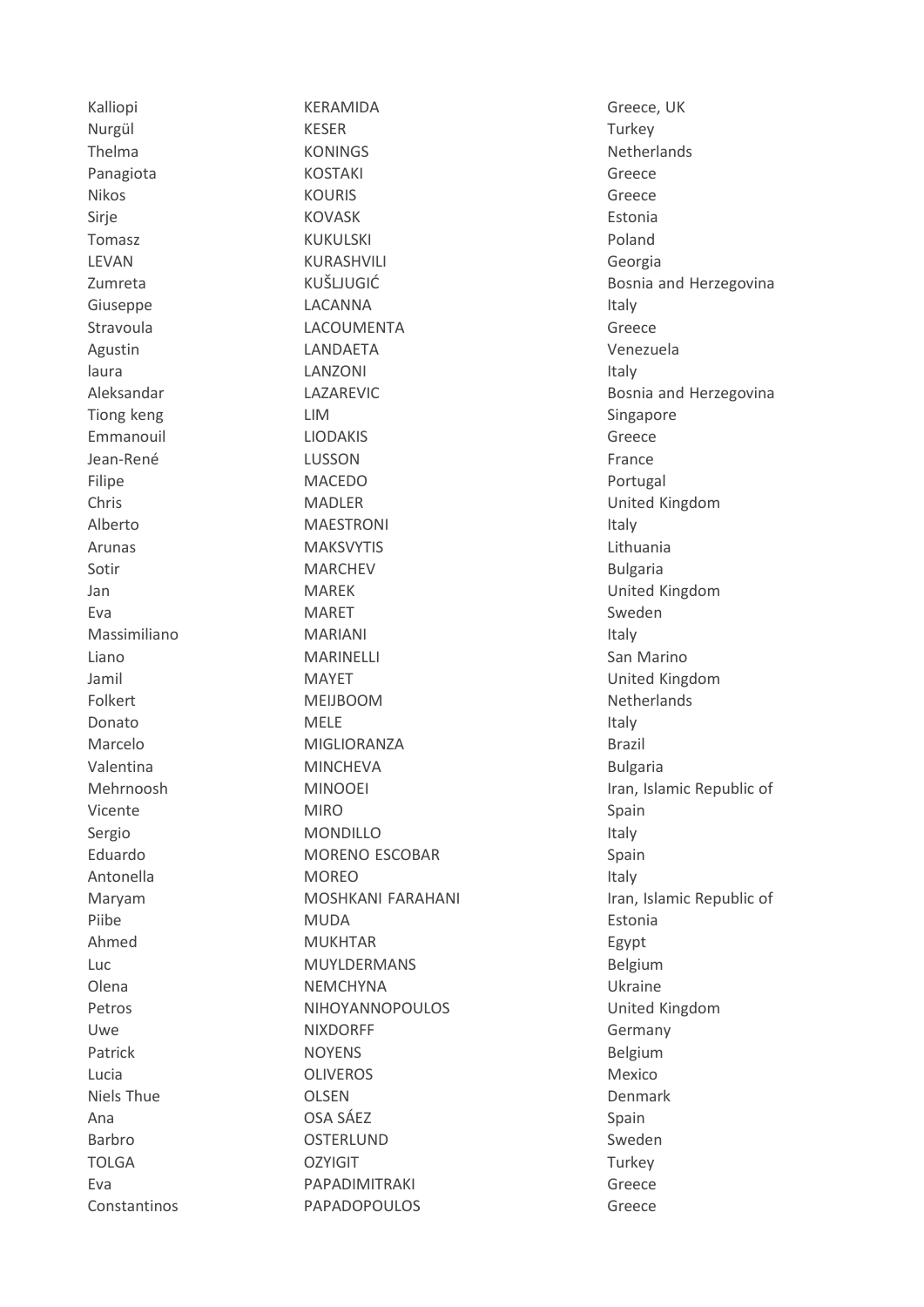Kalliopi Nurgül Thelma Panagiota Nikos Sirje Tomasz LEVAN Zumreta Giuseppe Stravoula Agustin laura Aleksandar Tiong keng Emmanouil Jean-René Filipe Chris Alberto Arunas Sotir Jan Eva Massimiliano Liano Jamil Folkert Donato Marcelo Valentina Mehrnoosh Vicente Sergio Eduardo Antonella Maryam Piibe Ahmed  $Luc$ Olena Petros Uwe Patrick Lucia **Niels Thue** Ana Barbro **TOLGA Fva** Constantinos

KERAMIDA **KESER KONINGS KOSTAKI KOURIS KOVASK KUKULSKI KURASHVILI KUŠLJUGIĆ** LACANNA **LACOUMENTA** LANDAETA LANZONI LAZAREVIC **LIM LIODAKIS** LUSSON **MACEDO MADLER MAESTRONI MAKSVYTIS MARCHEV MAREK MARET MARIANI MARINELLI MAYET MEIJBOOM MELE** MIGLIORANZA **MINCHEVA MINOOEI MIRO MONDILLO MORENO ESCOBAR MOREO** MOSHKANI FARAHANI **MUDA MUKHTAR MUYLDERMANS NFMCHYNA NIHOYANNOPOULOS NIXDORFF NOYENS OLIVEROS OLSEN** OSA SÁFZ **OSTERLUND OZYIGIT PAPADIMITRAKI PAPADOPOULOS** 

Greece, UK Turkev Netherlands Greece Greece Estonia Poland Georgia Bosnia and Herzegovina Italy Greece Venezuela Italy Bosnia and Herzegovina Singapore Greece France Portugal United Kingdom Italy Lithuania **Bulgaria** United Kingdom Sweden Italy San Marino United Kingdom Netherlands Italy **Brazil Bulgaria** Iran, Islamic Republic of Spain Italy Spain Italy Iran, Islamic Republic of Estonia Egypt Belgium Ukraine United Kingdom Germany Belgium Mexico Denmark Spain Sweden Turkey Greece Greece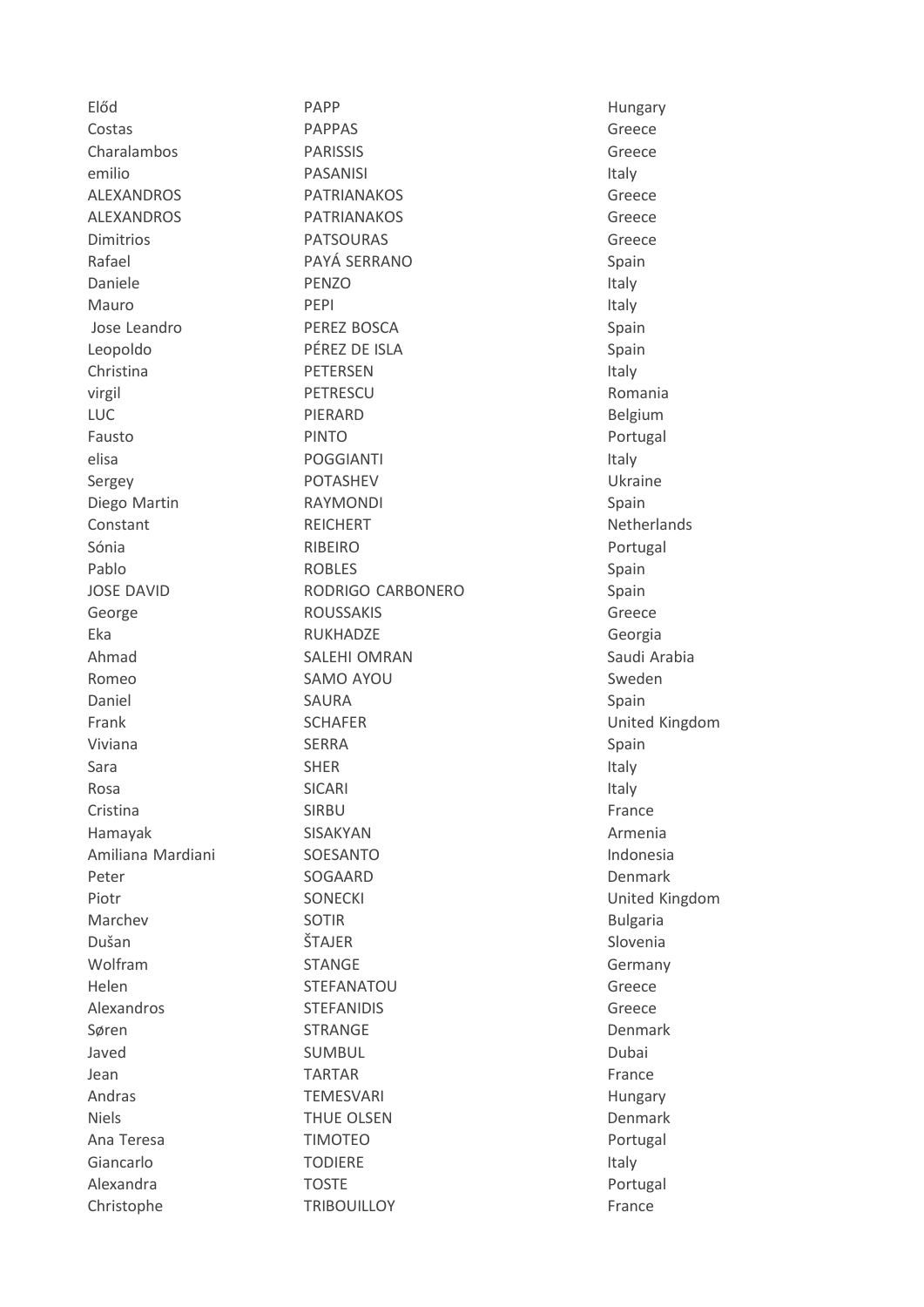Előd Costas Charalambos emilio **ALEXANDROS ALEXANDROS** Dimitrios Rafael Daniele Mauro Jose Leandro Leopoldo Christina virgil **LUC** Fausto elisa Sergey Diego Martin Constant Sónia Pablo **JOSE DAVID** George Eka Ahmad Romeo Daniel Frank Viviana Sara Rosa Cristina Hamayak Amiliana Mardiani Peter Piotr Marchev Dušan Wolfram Helen Alexandros Søren Javed Jean Andras **Niels** Ana Teresa Giancarlo Alexandra Christophe

PAPP **PAPPAS PARISSIS PASANISI PATRIANAKOS PATRIANAKOS PATSOURAS** PAYÁ SERRANO PFNZO PEPI PEREZ BOSCA PÉREZ DE ISLA **PETERSEN** PETRESCU PIERARD **PINTO POGGIANTI POTASHEV RAYMONDI REICHERT** RIBEIRO **ROBLES** RODRIGO CARBONERO **ROUSSAKIS RUKHADZE SALEHI OMRAN SAMO AYOU SAURA SCHAFER SERRA SHER SICARI SIRBU SISAKYAN** SOESANTO SOGAARD **SONECKI SOTIR** ŠTAJER **STANGE STEFANATOU STEFANIDIS STRANGE SUMBUL TARTAR TEMESVARI** THUE OLSEN **TIMOTEO TODIERE TOSTE TRIBOUILLOY** 

Hungary Greece Greece Italy Greece Greece Greece Spain Italy Italy Spain Spain Italy Romania Belgium Portugal Italy Ukraine Spain Netherlands Portugal Spain Spain Greece Georgia Saudi Arabia Sweden Spain United Kingdom Spain Italy Italy France Armenia Indonesia Denmark United Kingdom **Bulgaria** Slovenia Germany Greece Greece Denmark Dubai France Hungary Denmark Portugal Italy Portugal France